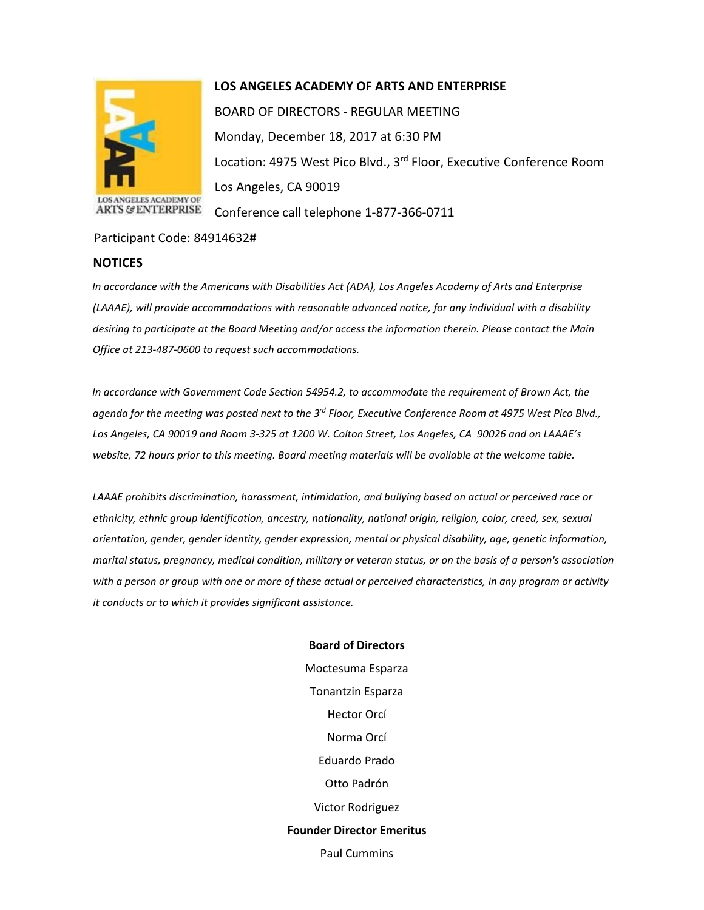

## **LOS ANGELES ACADEMY OF ARTS AND ENTERPRISE**

BOARD OF DIRECTORS - REGULAR MEETING Monday, December 18, 2017 at 6:30 PM Location: 4975 West Pico Blvd., 3<sup>rd</sup> Floor, Executive Conference Room Los Angeles, CA 90019 Conference call telephone 1-877-366-0711

Participant Code: 84914632#

## **NOTICES**

*In accordance with the Americans with Disabilities Act (ADA), Los Angeles Academy of Arts and Enterprise (LAAAE), will provide accommodations with reasonable advanced notice, for any individual with a disability desiring to participate at the Board Meeting and/or access the information therein. Please contact the Main Office at 213-487-0600 to request such accommodations.* 

*In accordance with Government Code Section 54954.2, to accommodate the requirement of Brown Act, the agenda for the meeting was posted next to the 3rd Floor, Executive Conference Room at 4975 West Pico Blvd., Los Angeles, CA 90019 and Room 3-325 at 1200 W. Colton Street, Los Angeles, CA 90026 and on LAAAE's website, 72 hours prior to this meeting. Board meeting materials will be available at the welcome table.* 

*LAAAE prohibits discrimination, harassment, intimidation, and bullying based on actual or perceived race or ethnicity, ethnic group identification, ancestry, nationality, national origin, religion, color, creed, sex, sexual orientation, gender, gender identity, gender expression, mental or physical disability, age, genetic information, marital status, pregnancy, medical condition, military or veteran status, or on the basis of a person's association with a person or group with one or more of these actual or perceived characteristics, in any program or activity it conducts or to which it provides significant assistance.* 

> **Board of Directors** Moctesuma Esparza Tonantzin Esparza Hector Orcí Norma Orcí Eduardo Prado Otto Padrón Victor Rodriguez **Founder Director Emeritus** Paul Cummins